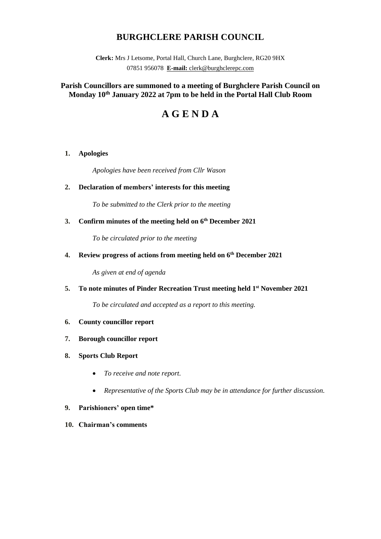# **BURGHCLERE PARISH COUNCIL**

**Clerk:** Mrs J Letsome, Portal Hall, Church Lane, Burghclere, RG20 9HX 07851 956078 **E-mail:** clerk@burghclerepc.com

# **Parish Councillors are summoned to a meeting of Burghclere Parish Council on Monday 10th January 2022 at 7pm to be held in the Portal Hall Club Room**

# **A G E N D A**

# **1. Apologies**

*Apologies have been received from Cllr Wason*

# **2. Declaration of members' interests for this meeting**

*To be submitted to the Clerk prior to the meeting*

### **3. Confirm minutes of the meeting held on 6 th December 2021**

*To be circulated prior to the meeting*

**4. Review progress of actions from meeting held on 6 th December 2021**

*As given at end of agenda*

# **5. To note minutes of Pinder Recreation Trust meeting held 1 st November 2021**

*To be circulated and accepted as a report to this meeting.*

- **6. County councillor report**
- **7. Borough councillor report**
- **8. Sports Club Report**
	- *To receive and note report.*
	- *Representative of the Sports Club may be in attendance for further discussion.*

#### **9. Parishioners' open time\***

**10. Chairman's comments**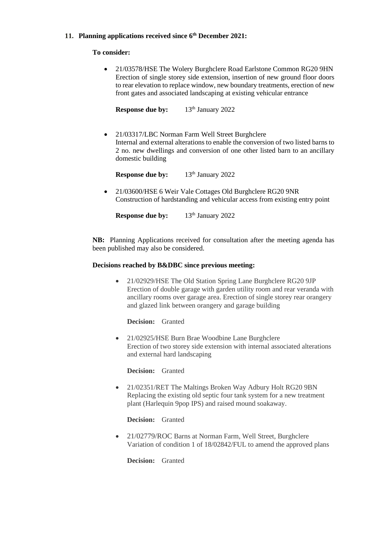# **11. Planning applications received since 6 th December 2021:**

#### **To consider:**

• 21/03578/HSE The Wolery Burghclere Road Earlstone Common RG20 9HN Erection of single storey side extension, insertion of new ground floor doors to rear elevation to replace window, new boundary treatments, erection of new front gates and associated landscaping at existing vehicular entrance

**Response due by:** 13<sup>th</sup> January 2022

• 21/03317/LBC Norman Farm Well Street Burghclere Internal and external alterations to enable the conversion of two listed barns to 2 no. new dwellings and conversion of one other listed barn to an ancillary domestic building

**Response due by:** 13<sup>th</sup> January 2022

• 21/03600/HSE 6 Weir Vale Cottages Old Burghclere RG20 9NR Construction of hardstanding and vehicular access from existing entry point

**Response** due by:  $13<sup>th</sup>$  January 2022

**NB:** Planning Applications received for consultation after the meeting agenda has been published may also be considered.

#### **Decisions reached by B&DBC since previous meeting:**

• 21/02929/HSE The Old Station Spring Lane Burghclere RG20 9JP Erection of double garage with garden utility room and rear veranda with ancillary rooms over garage area. Erection of single storey rear orangery and glazed link between orangery and garage building

**Decision:** Granted

• 21/02925/HSE Burn Brae Woodbine Lane Burghclere Erection of two storey side extension with internal associated alterations and external hard landscaping

**Decision:** Granted

• 21/02351/RET The Maltings Broken Way Adbury Holt RG20 9BN Replacing the existing old septic four tank system for a new treatment plant (Harlequin 9pop IPS) and raised mound soakaway.

**Decision:** Granted

• 21/02779/ROC Barns at Norman Farm, Well Street, Burghclere Variation of condition 1 of 18/02842/FUL to amend the approved plans

**Decision:** Granted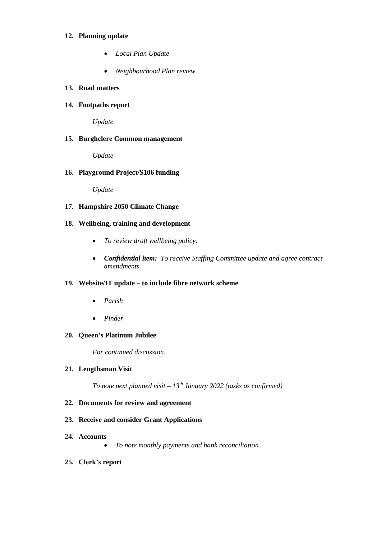#### **12. Planning update**

- *Local Plan Update*
- *Neighbourhood Plan review*

# **13. Road matters**

### **14. Footpaths report**

*Update*

#### **15. Burghclere Common management**

*Update*

#### **16. Playground Project/S106 funding**

*Update*

#### **17. Hampshire 2050 Climate Change**

#### **18. Wellbeing, training and development**

- *To review draft wellbeing policy.*
- *Confidential item: To receive Staffing Committee update and agree contract amendments.*

#### **19. Website/IT update – to include fibre network scheme**

- *Parish*
- *Pinder*

### **20. Queen's Platinum Jubilee**

*For continued discussion.*

#### **21. Lengthsman Visit**

*To note next planned visit – 13th January 2022 (tasks as confirmed)*

#### **22. Documents for review and agreement**

#### **23. Receive and consider Grant Applications**

- **24. Accounts** 
	- *To note monthly payments and bank reconciliation*
- **25. Clerk's report**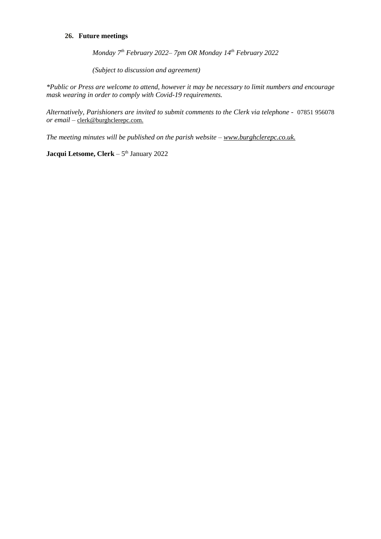# **26. Future meetings**

*Monday 7 th February 2022– 7pm OR Monday 14th February 2022*

*(Subject to discussion and agreement)*

*\*Public or Press are welcome to attend, however it may be necessary to limit numbers and encourage mask wearing in order to comply with Covid-19 requirements.* 

*Alternatively, Parishioners are invited to submit comments to the Clerk via telephone -* 07851 956078 *or email –* clerk@burghclerepc.com.

*The meeting minutes will be published on the parish website – www.burghclerepc.co.uk.*

**Jacqui Letsome, Clerk** – 5 th January 2022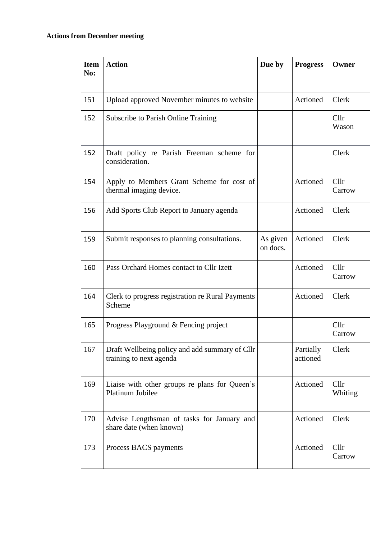# **Actions from December meeting**

| <b>Item</b><br>No: | <b>Action</b>                                                             | Due by               | <b>Progress</b>       | Owner           |
|--------------------|---------------------------------------------------------------------------|----------------------|-----------------------|-----------------|
| 151                | Upload approved November minutes to website                               |                      | Actioned              | Clerk           |
| 152                | <b>Subscribe to Parish Online Training</b>                                |                      |                       | Cllr<br>Wason   |
| 152                | Draft policy re Parish Freeman scheme for<br>consideration.               |                      |                       | Clerk           |
| 154                | Apply to Members Grant Scheme for cost of<br>thermal imaging device.      |                      | Actioned              | Cllr<br>Carrow  |
| 156                | Add Sports Club Report to January agenda                                  |                      | Actioned              | Clerk           |
| 159                | Submit responses to planning consultations.                               | As given<br>on docs. | Actioned              | Clerk           |
| 160                | Pass Orchard Homes contact to Cllr Izett                                  |                      | Actioned              | Cllr<br>Carrow  |
| 164                | Clerk to progress registration re Rural Payments<br>Scheme                |                      | Actioned              | Clerk           |
| 165                | Progress Playground & Fencing project                                     |                      |                       | Cllr<br>Carrow  |
| 167                | Draft Wellbeing policy and add summary of Cllr<br>training to next agenda |                      | Partially<br>actioned | Clerk           |
| 169                | Liaise with other groups re plans for Queen's<br>Platinum Jubilee         |                      | Actioned              | Cllr<br>Whiting |
| 170                | Advise Lengthsman of tasks for January and<br>share date (when known)     |                      | Actioned              | Clerk           |
| 173                | Process BACS payments                                                     |                      | Actioned              | Cllr<br>Carrow  |